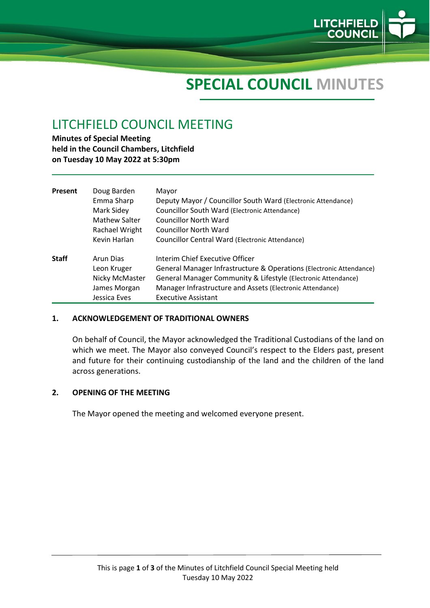

# **SPECIAL COUNCIL MINUTES**

# LITCHFIELD COUNCIL MEETING

**Minutes of Special Meeting held in the Council Chambers, Litchfield on Tuesday 10 May 2022 at 5:30pm**

| Present      | Doug Barden<br>Emma Sharp<br>Mark Sidey<br>Mathew Salter<br>Rachael Wright | Mayor<br>Deputy Mayor / Councillor South Ward (Electronic Attendance)<br>Councillor South Ward (Electronic Attendance)<br>Councillor North Ward<br>Councillor North Ward |
|--------------|----------------------------------------------------------------------------|--------------------------------------------------------------------------------------------------------------------------------------------------------------------------|
|              | Kevin Harlan                                                               | Councillor Central Ward (Electronic Attendance)                                                                                                                          |
| <b>Staff</b> | Arun Dias<br>Leon Kruger<br>Nicky McMaster                                 | Interim Chief Executive Officer<br>General Manager Infrastructure & Operations (Electronic Attendance)<br>General Manager Community & Lifestyle (Electronic Attendance)  |
|              | James Morgan<br>Jessica Eves                                               | Manager Infrastructure and Assets (Electronic Attendance)<br><b>Executive Assistant</b>                                                                                  |

#### **1. ACKNOWLEDGEMENT OF TRADITIONAL OWNERS**

On behalf of Council, the Mayor acknowledged the Traditional Custodians of the land on which we meet. The Mayor also conveyed Council's respect to the Elders past, present and future for their continuing custodianship of the land and the children of the land across generations.

#### **2. OPENING OF THE MEETING**

The Mayor opened the meeting and welcomed everyone present.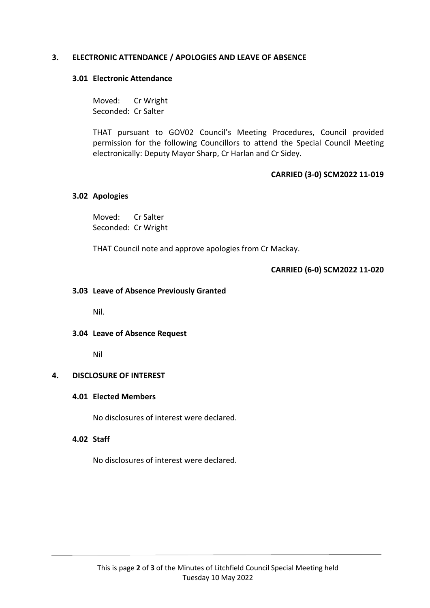# **3. ELECTRONIC ATTENDANCE / APOLOGIES AND LEAVE OF ABSENCE**

#### **3.01 Electronic Attendance**

Moved: Cr Wright Seconded: Cr Salter

THAT pursuant to GOV02 Council's Meeting Procedures, Council provided permission for the following Councillors to attend the Special Council Meeting electronically: Deputy Mayor Sharp, Cr Harlan and Cr Sidey.

# **CARRIED (3-0) SCM2022 11-019**

#### **3.02 Apologies**

Moved: Cr Salter Seconded: Cr Wright

THAT Council note and approve apologies from Cr Mackay.

## **CARRIED (6-0) SCM2022 11-020**

## **3.03 Leave of Absence Previously Granted**

Nil.

## **3.04 Leave of Absence Request**

Nil

## **4. DISCLOSURE OF INTEREST**

## **4.01 Elected Members**

No disclosures of interest were declared.

# **4.02 Staff**

No disclosures of interest were declared.